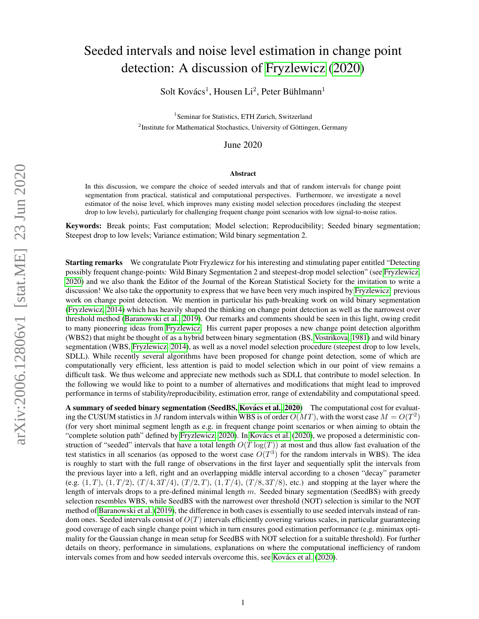## Seeded intervals and noise level estimation in change point detection: A discussion of [Fryzlewicz](#page-4-0) [\(2020\)](#page-4-0)

Solt Kovács<sup>1</sup>, Housen Li<sup>2</sup>, Peter Bühlmann<sup>1</sup>

<sup>1</sup> Seminar for Statistics, ETH Zurich, Switzerland  $2$ Institute for Mathematical Stochastics, University of Göttingen, Germany

June 2020

## Abstract

In this discussion, we compare the choice of seeded intervals and that of random intervals for change point segmentation from practical, statistical and computational perspectives. Furthermore, we investigate a novel estimator of the noise level, which improves many existing model selection procedures (including the steepest drop to low levels), particularly for challenging frequent change point scenarios with low signal-to-noise ratios.

Keywords: Break points; Fast computation; Model selection; Reproducibility; Seeded binary segmentation; Steepest drop to low levels; Variance estimation; Wild binary segmentation 2.

Starting remarks We congratulate Piotr Fryzlewicz for his interesting and stimulating paper entitled "Detecting possibly frequent change-points: Wild Binary Segmentation 2 and steepest-drop model selection" (see [Fryzlewicz,](#page-4-0) [2020\)](#page-4-0) and we also thank the Editor of the Journal of the Korean Statistical Society for the invitation to write a discussion! We also take the opportunity to express that we have been very much inspired by [Fryzlewicz'](#page-4-1) previous work on change point detection. We mention in particular his path-breaking work on wild binary segmentation [\(Fryzlewicz, 2014\)](#page-4-1) which has heavily shaped the thinking on change point detection as well as the narrowest over threshold method [\(Baranowski et al., 2019\)](#page-4-2). Our remarks and comments should be seen in this light, owing credit to many pioneering ideas from [Fryzlewicz.](#page-4-1) His current paper proposes a new change point detection algorithm (WBS2) that might be thought of as a hybrid between binary segmentation (BS, [Vostrikova, 1981\)](#page-4-3) and wild binary segmentation (WBS, [Fryzlewicz, 2014\)](#page-4-1), as well as a novel model selection procedure (steepest drop to low levels, SDLL). While recently several algorithms have been proposed for change point detection, some of which are computationally very efficient, less attention is paid to model selection which in our point of view remains a difficult task. We thus welcome and appreciate new methods such as SDLL that contribute to model selection. In the following we would like to point to a number of alternatives and modifications that might lead to improved performance in terms of stability/reproducibility, estimation error, range of extendability and computational speed.

A summary of seeded binary segmentation (SeedBS, Kovács et al., 2020) The computational cost for evaluating the CUSUM statistics in M random intervals within WBS is of order  $O(MT)$ , with the worst case  $M = O(T^2)$ (for very short minimal segment length as e.g. in frequent change point scenarios or when aiming to obtain the "complete solution path" defined by [Fryzlewicz, 2020\)](#page-4-0). In Kovács et al. [\(2020\)](#page-4-4), we proposed a deterministic construction of "seeded" intervals that have a total length  $O(T \log(T))$  at most and thus allow fast evaluation of the test statistics in all scenarios (as opposed to the worst case  $O(T^3)$  for the random intervals in WBS). The idea is roughly to start with the full range of observations in the first layer and sequentially split the intervals from the previous layer into a left, right and an overlapping middle interval according to a chosen "decay" parameter (e.g.  $(1, T)$ ,  $(1, T/2)$ ,  $(T/4, 3T/4)$ ,  $(T/2, T)$ ,  $(1, T/4)$ ,  $(T/8, 3T/8)$ , etc.) and stopping at the layer where the length of intervals drops to a pre-defined minimal length m. Seeded binary segmentation (SeedBS) with greedy selection resembles WBS, while SeedBS with the narrowest over threshold (NOT) selection is similar to the NOT method of [Baranowski et al.](#page-4-2) [\(2019\)](#page-4-2), the difference in both cases is essentially to use seeded intervals instead of random ones. Seeded intervals consist of  $O(T)$  intervals efficiently covering various scales, in particular guaranteeing good coverage of each single change point which in turn ensures good estimation performance (e.g. minimax optimality for the Gaussian change in mean setup for SeedBS with NOT selection for a suitable threshold). For further details on theory, performance in simulations, explanations on where the computational inefficiency of random intervals comes from and how seeded intervals overcome this, see Kovács et al. [\(2020\)](#page-4-4).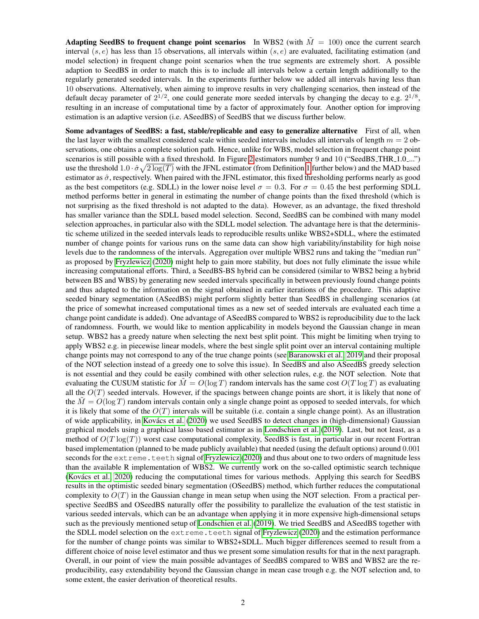Adapting SeedBS to frequent change point scenarios In WBS2 (with  $\tilde{M} = 100$ ) once the current search interval  $(s, e)$  has less than 15 observations, all intervals within  $(s, e)$  are evaluated, facilitating estimation (and model selection) in frequent change point scenarios when the true segments are extremely short. A possible adaption to SeedBS in order to match this is to include all intervals below a certain length additionally to the regularly generated seeded intervals. In the experiments further below we added all intervals having less than 10 observations. Alternatively, when aiming to improve results in very challenging scenarios, then instead of the default decay parameter of  $2^{1/2}$ , one could generate more seeded intervals by changing the decay to e.g.  $2^{1/8}$ , resulting in an increase of computational time by a factor of approximately four. Another option for improving estimation is an adaptive version (i.e. ASeedBS) of SeedBS that we discuss further below.

Some advantages of SeedBS: a fast, stable/replicable and easy to generalize alternative First of all, when the last layer with the smallest considered scale within seeded intervals includes all intervals of length  $m = 2$  observations, one obtains a complete solution path. Hence, unlike for WBS, model selection in frequent change point scenarios is still possible with a fixed threshold. In Figure [2](#page-3-0) estimators number 9 and 10 ("SeedBS\_THR\_1.0....") use the threshold  $1.0 \cdot \hat{\sigma} \sqrt{2 \log(T)}$  with the JFNL estimator (from Definition [1](#page-2-0) further below) and the MAD based estimator as  $\hat{\sigma}$ , respectively. When paired with the JFNL estimator, this fixed thresholding performs nearly as good as the best competitors (e.g. SDLL) in the lower noise level  $\sigma = 0.3$ . For  $\sigma = 0.45$  the best performing SDLL method performs better in general in estimating the number of change points than the fixed threshold (which is not surprising as the fixed threshold is not adapted to the data). However, as an advantage, the fixed threshold has smaller variance than the SDLL based model selection. Second, SeedBS can be combined with many model selection approaches, in particular also with the SDLL model selection. The advantage here is that the deterministic scheme utilized in the seeded intervals leads to reproducible results unlike WBS2+SDLL, where the estimated number of change points for various runs on the same data can show high variability/instability for high noise levels due to the randomness of the intervals. Aggregation over multiple WBS2 runs and taking the "median run" as proposed by [Fryzlewicz](#page-4-0) [\(2020\)](#page-4-0) might help to gain more stability, but does not fully eliminate the issue while increasing computational efforts. Third, a SeedBS-BS hybrid can be considered (similar to WBS2 being a hybrid between BS and WBS) by generating new seeded intervals specifically in between previously found change points and thus adapted to the information on the signal obtained in earlier iterations of the procedure. This adaptive seeded binary segmentation (ASeedBS) might perform slightly better than SeedBS in challenging scenarios (at the price of somewhat increased computational times as a new set of seeded intervals are evaluated each time a change point candidate is added). One advantage of ASeedBS compared to WBS2 is reproducibility due to the lack of randomness. Fourth, we would like to mention applicability in models beyond the Gaussian change in mean setup. WBS2 has a greedy nature when selecting the next best split point. This might be limiting when trying to apply WBS2 e.g. in piecewise linear models, where the best single split point over an interval containing multiple change points may not correspond to any of the true change points (see [Baranowski et al., 2019](#page-4-2) and their proposal of the NOT selection instead of a greedy one to solve this issue). In SeedBS and also ASeedBS greedy selection is not essential and they could be easily combined with other selection rules, e.g. the NOT selection. Note that evaluating the CUSUM statistic for  $M = O(\log T)$  random intervals has the same cost  $O(T \log T)$  as evaluating all the  $O(T)$  seeded intervals. However, if the spacings between change points are short, it is likely that none of the  $M = O(\log T)$  random intervals contain only a single change point as opposed to seeded intervals, for which it is likely that some of the  $O(T)$  intervals will be suitable (i.e. contain a single change point). As an illustration of wide applicability, in [Kovacs et al.](#page-4-4) [\(2020\)](#page-4-4) we used SeedBS to detect changes in (high-dimensional) Gaussian ´ graphical models using a graphical lasso based estimator as in [Londschien et al.](#page-4-5) [\(2019\)](#page-4-5). Last, but not least, as a method of  $O(T \log(T))$  worst case computational complexity, SeedBS is fast, in particular in our recent Fortran based implementation (planned to be made publicly available) that needed (using the default options) around 0.001 seconds for the extreme.teeth signal of [Fryzlewicz](#page-4-0) [\(2020\)](#page-4-0) and thus about one to two orders of magnitude less than the available R implementation of WBS2. We currently work on the so-called optimistic search technique [\(Kovacs et al., 2020\)](#page-4-6) reducing the computational times for various methods. Applying this search for SeedBS ´ results in the optimistic seeded binary segmentation (OSeedBS) method, which further reduces the computational complexity to  $O(T)$  in the Gaussian change in mean setup when using the NOT selection. From a practical perspective SeedBS and OSeedBS naturally offer the possibility to parallelize the evaluation of the test statistic in various seeded intervals, which can be an advantage when applying it in more expensive high-dimensional setups such as the previously mentioned setup of [Londschien et al.](#page-4-5) [\(2019\)](#page-4-5). We tried SeedBS and ASeedBS together with the SDLL model selection on the extreme.teeth signal of [Fryzlewicz](#page-4-0) [\(2020\)](#page-4-0) and the estimation performance for the number of change points was similar to WBS2+SDLL. Much bigger differences seemed to result from a different choice of noise level estimator and thus we present some simulation results for that in the next paragraph. Overall, in our point of view the main possible advantages of SeedBS compared to WBS and WBS2 are the reproducibility, easy extendability beyond the Gaussian change in mean case trough e.g. the NOT selection and, to some extent, the easier derivation of theoretical results.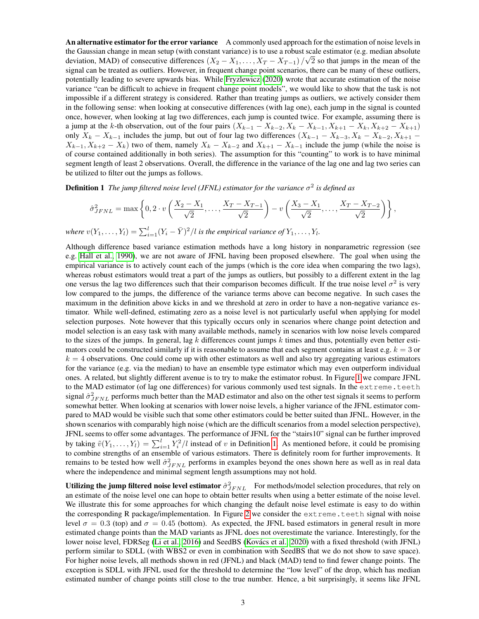An alternative estimator for the error variance A commonly used approach for the estimation of noise levels in the Gaussian change in mean setup (with constant variance) is to use a robust scale estimator (e.g. median absolute deviation, MAD) of consecutive differences  $(X_2 - X_1, \ldots, X_T - X_{T-1})/\sqrt{2}$  so that jumps in the mean of the signal can be treated as outliers. However, in frequent change point scenarios, there can be many of these outliers, potentially leading to severe upwards bias. While [Fryzlewicz](#page-4-0) [\(2020\)](#page-4-0) wrote that accurate estimation of the noise variance "can be difficult to achieve in frequent change point models", we would like to show that the task is not impossible if a different strategy is considered. Rather than treating jumps as outliers, we actively consider them in the following sense: when looking at consecutive differences (with lag one), each jump in the signal is counted once, however, when looking at lag two differences, each jump is counted twice. For example, assuming there is a jump at the k-th observation, out of the four pairs  $(X_{k-1} - X_{k-2}, X_k - X_{k-1}, X_{k+1} - X_k, X_{k+2} - X_{k+1})$ only  $X_k - X_{k-1}$  includes the jump, but out of four lag two differences  $(X_{k-1} - X_{k-3}, X_k - X_{k-2}, X_{k+1} - X_k)$  $X_{k-1}$ ,  $X_{k+2} - X_k$ ) two of them, namely  $X_k - X_{k-2}$  and  $X_{k+1} - X_{k-1}$  include the jump (while the noise is of course contained additionally in both series). The assumption for this "counting" to work is to have minimal segment length of least 2 observations. Overall, the difference in the variance of the lag one and lag two series can be utilized to filter out the jumps as follows.

**Definition 1** The jump filtered noise level (JFNL) estimator for the variance  $\sigma^2$  is defined as

<span id="page-2-0"></span>
$$
\hat{\sigma}_{JFNL}^2 = \max \left\{ 0, 2 \cdot v \left( \frac{X_2 - X_1}{\sqrt{2}}, \dots, \frac{X_T - X_{T-1}}{\sqrt{2}} \right) - v \left( \frac{X_3 - X_1}{\sqrt{2}}, \dots, \frac{X_T - X_{T-2}}{\sqrt{2}} \right) \right\},\,
$$

where  $v(Y_1, \ldots, Y_l) = \sum_{i=1}^l (Y_i - \bar{Y})^2 / l$  is the empirical variance of  $Y_1, \ldots, Y_l$ .

Although difference based variance estimation methods have a long history in nonparametric regression (see e.g. [Hall et al., 1990\)](#page-4-7), we are not aware of JFNL having been proposed elsewhere. The goal when using the empirical variance is to actively count each of the jumps (which is the core idea when comparing the two lags), whereas robust estimators would treat a part of the jumps as outliers, but possibly to a different extent in the lag one versus the lag two differences such that their comparison becomes difficult. If the true noise level  $\sigma^2$  is very low compared to the jumps, the difference of the variance terms above can become negative. In such cases the maximum in the definition above kicks in and we threshold at zero in order to have a non-negative variance estimator. While well-defined, estimating zero as a noise level is not particularly useful when applying for model selection purposes. Note however that this typically occurs only in scenarios where change point detection and model selection is an easy task with many available methods, namely in scenarios with low noise levels compared to the sizes of the jumps. In general, lag k differences count jumps k times and thus, potentially even better estimators could be constructed similarly if it is reasonable to assume that each segment contains at least e.g.  $k = 3$  or  $k = 4$  observations. One could come up with other estimators as well and also try aggregating various estimators for the variance (e.g. via the median) to have an ensemble type estimator which may even outperform individual ones. A related, but slightly different avenue is to try to make the estimator robust. In Figure [1](#page-3-1) we compare JFNL to the MAD estimator (of lag one differences) for various commonly used test signals. In the extreme.teeth signal  $\hat{\sigma}_{JFNL}^2$  performs much better than the MAD estimator and also on the other test signals it seems to perform somewhat better. When looking at scenarios with lower noise levels, a higher variance of the JFNL estimator compared to MAD would be visible such that some other estimators could be better suited than JFNL. However, in the shown scenarios with comparably high noise (which are the difficult scenarios from a model selection perspective), JFNL seems to offer some advantages. The performance of JFNL for the "stairs10" signal can be further improved by taking  $\tilde{v}(Y_1,\ldots,Y_l)=\sum_{i=1}^l Y_i^2/l$  instead of v in Definition [1.](#page-2-0) As mentioned before, it could be promising to combine strengths of an ensemble of various estimators. There is definitely room for further improvements. It remains to be tested how well  $\hat{\sigma}_{JFNL}^2$  performs in examples beyond the ones shown here as well as in real data where the independence and minimal segment length assumptions may not hold.

Utilizing the jump filtered noise level estimator  $\hat{\sigma}_{JFNL}^2$  For methods/model selection procedures, that rely on an estimate of the noise level one can hope to obtain better results when using a better estimate of the noise level. We illustrate this for some approaches for which changing the default noise level estimate is easy to do within the corresponding R package/implementation. In Figure [2](#page-3-0) we consider the extreme.teeth signal with noise level  $\sigma = 0.3$  (top) and  $\sigma = 0.45$  (bottom). As expected, the JFNL based estimators in general result in more estimated change points than the MAD variants as JFNL does not overestimate the variance. Interestingly, for the lower noise level, FDRSeg [\(Li et al., 2016\)](#page-4-8) and SeedBS (Kovács et al., 2020) with a fixed threshold (with JFNL) perform similar to SDLL (with WBS2 or even in combination with SeedBS that we do not show to save space). For higher noise levels, all methods shown in red (JFNL) and black (MAD) tend to find fewer change points. The exception is SDLL with JFNL used for the threshold to determine the "low level" of the drop, which has median estimated number of change points still close to the true number. Hence, a bit surprisingly, it seems like JFNL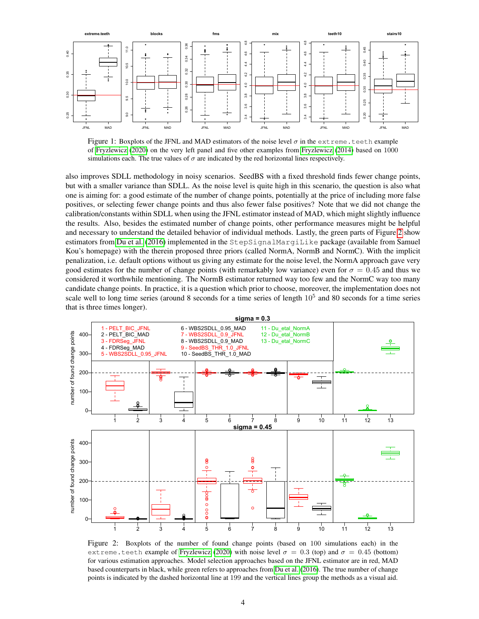<span id="page-3-1"></span>

Figure 1: Boxplots of the JFNL and MAD estimators of the noise level  $\sigma$  in the extreme.teeth example of [Fryzlewicz](#page-4-0) [\(2020\)](#page-4-0) on the very left panel and five other examples from [Fryzlewicz](#page-4-1) [\(2014\)](#page-4-1) based on 1000 simulations each. The true values of  $\sigma$  are indicated by the red horizontal lines respectively.

also improves SDLL methodology in noisy scenarios. SeedBS with a fixed threshold finds fewer change points, but with a smaller variance than SDLL. As the noise level is quite high in this scenario, the question is also what one is aiming for: a good estimate of the number of change points, potentially at the price of including more false positives, or selecting fewer change points and thus also fewer false positives? Note that we did not change the calibration/constants within SDLL when using the JFNL estimator instead of MAD, which might slightly influence the results. Also, besides the estimated number of change points, other performance measures might be helpful and necessary to understand the detailed behavior of individual methods. Lastly, the green parts of Figure [2](#page-3-0) show estimators from [Du et al.](#page-4-9) [\(2016\)](#page-4-9) implemented in the StepSignalMargiLike package (available from Samuel Kou's homepage) with the therein proposed three priors (called NormA, NormB and NormC). With the implicit penalization, i.e. default options without us giving any estimate for the noise level, the NormA approach gave very good estimates for the number of change points (with remarkably low variance) even for  $\sigma = 0.45$  and thus we considered it worthwhile mentioning. The NormB estimator returned way too few and the NormC way too many candidate change points. In practice, it is a question which prior to choose, moreover, the implementation does not scale well to long time series (around 8 seconds for a time series of length  $10<sup>5</sup>$  and 80 seconds for a time series that is three times longer).

<span id="page-3-0"></span>

Figure 2: Boxplots of the number of found change points (based on 100 simulations each) in the extreme.teeth example of [Fryzlewicz](#page-4-0) [\(2020\)](#page-4-0) with noise level  $\sigma = 0.3$  (top) and  $\sigma = 0.45$  (bottom) for various estimation approaches. Model selection approaches based on the JFNL estimator are in red, MAD based counterparts in black, while green refers to approaches from [Du et al.](#page-4-9) [\(2016\)](#page-4-9). The true number of change points is indicated by the dashed horizontal line at 199 and the vertical lines group the methods as a visual aid.